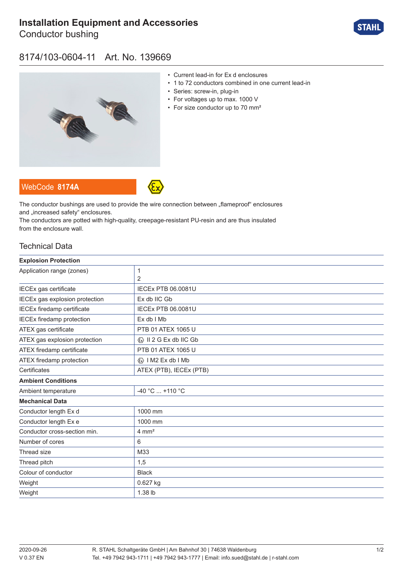# **[Installation Equipment and Accessories](https://r-stahl.com/en/global/products/materialid/139669)**

Conductor bushing



### 8174/103-0604-11 Art. No. 139669



- Current lead-in for Ex d enclosures
- 1 to 72 conductors combined in one current lead-in
- Series: screw-in, plug-in
- For voltages up to max. 1000 V
- For size conductor up to 70 mm²





The conductor bushings are used to provide the wire connection between "flameproof" enclosures and ..increased safety" enclosures.

The conductors are potted with high-quality, creepage-resistant PU-resin and are thus insulated from the enclosure wall.

### Technical Data

| <b>Explosion Protection</b>      |                              |
|----------------------------------|------------------------------|
| Application range (zones)        | 1                            |
|                                  | 2                            |
| IECEx gas certificate            | <b>IECEX PTB 06.0081U</b>    |
| IECEx gas explosion protection   | Ex db IIC Gb                 |
| IECEx firedamp certificate       | <b>IECEX PTB 06.0081U</b>    |
| <b>IECEx firedamp protection</b> | Ex db I Mb                   |
| ATEX gas certificate             | PTB 01 ATEX 1065 U           |
| ATEX gas explosion protection    | <b>۞ II 2 G Ex db IIC Gb</b> |
| ATEX firedamp certificate        | PTB 01 ATEX 1065 U           |
| ATEX firedamp protection         | <b>«</b> » I M2 Ex db I Mb   |
| Certificates                     | ATEX (PTB), IECEx (PTB)      |
| <b>Ambient Conditions</b>        |                              |
| Ambient temperature              | $-40 °C$ +110 °C             |
| <b>Mechanical Data</b>           |                              |
| Conductor length Ex d            | 1000 mm                      |
| Conductor length Ex e            | 1000 mm                      |
| Conductor cross-section min.     | $4 \text{ mm}^2$             |
| Number of cores                  | 6                            |
| Thread size                      | M33                          |
| Thread pitch                     | 1,5                          |
| Colour of conductor              | <b>Black</b>                 |
| Weight                           | 0.627 kg                     |
| Weight                           | 1.38 lb                      |
|                                  |                              |